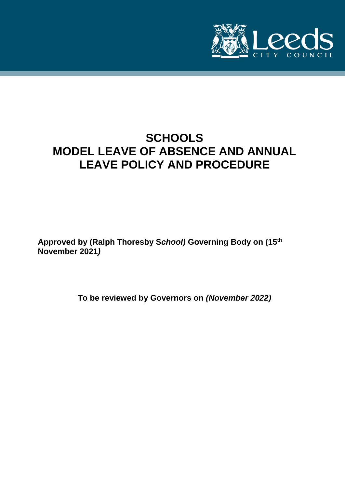

# **SCHOOLS MODEL LEAVE OF ABSENCE AND ANNUAL LEAVE POLICY AND PROCEDURE**

**Approved by (Ralph Thoresby S***chool)* **Governing Body on (15th November 2021***)*

**To be reviewed by Governors on** *(November 2022)*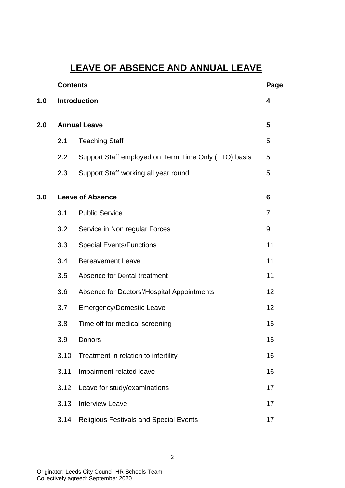# **LEAVE OF ABSENCE AND ANNUAL LEAVE**

|     | <b>Contents</b>         |                                                      |                |
|-----|-------------------------|------------------------------------------------------|----------------|
| 1.0 |                         | <b>Introduction</b>                                  | 4              |
| 2.0 | <b>Annual Leave</b>     |                                                      | 5              |
|     | 2.1                     | <b>Teaching Staff</b>                                | 5              |
|     | 2.2                     | Support Staff employed on Term Time Only (TTO) basis | 5              |
|     | 2.3                     | Support Staff working all year round                 | 5              |
| 3.0 | <b>Leave of Absence</b> |                                                      |                |
|     | 3.1                     | <b>Public Service</b>                                | $\overline{7}$ |
|     | 3.2                     | Service in Non regular Forces                        | 9              |
|     | 3.3                     | <b>Special Events/Functions</b>                      | 11             |
|     | 3.4                     | <b>Bereavement Leave</b>                             | 11             |
|     | 3.5                     | Absence for Dental treatment                         | 11             |
|     | 3.6                     | Absence for Doctors'/Hospital Appointments           | 12             |
|     | 3.7                     | <b>Emergency/Domestic Leave</b>                      | 12             |
|     | 3.8                     | Time off for medical screening                       | 15             |
|     | 3.9                     | Donors                                               | 15             |
|     | 3.10                    | Treatment in relation to infertility                 | 16             |
|     | 3.11                    | Impairment related leave                             | 16             |
|     | 3.12                    | Leave for study/examinations                         | 17             |
|     | 3.13                    | <b>Interview Leave</b>                               | 17             |
|     | 3.14                    | <b>Religious Festivals and Special Events</b>        | 17             |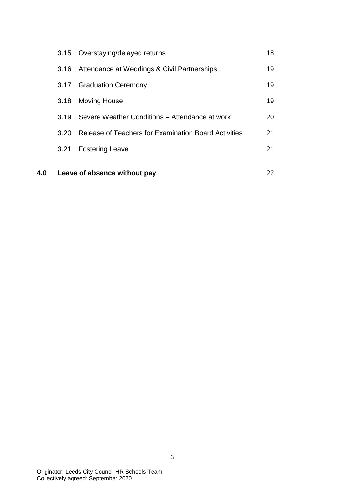|      | 3.15 Overstaying/delayed returns                     | 18 |
|------|------------------------------------------------------|----|
| 3.16 | Attendance at Weddings & Civil Partnerships          | 19 |
| 3.17 | <b>Graduation Ceremony</b>                           | 19 |
| 3.18 | <b>Moving House</b>                                  | 19 |
| 3.19 | Severe Weather Conditions – Attendance at work       | 20 |
| 3.20 | Release of Teachers for Examination Board Activities | 21 |
| 3.21 | <b>Fostering Leave</b>                               | 21 |
|      |                                                      |    |

**4.0 Leave of absence without pay** 22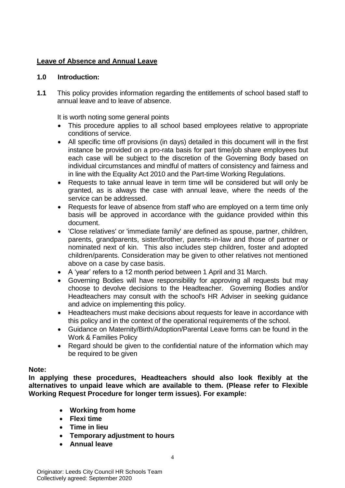# **Leave of Absence and Annual Leave**

# **1.0 Introduction:**

**1.1** This policy provides information regarding the entitlements of school based staff to annual leave and to leave of absence.

It is worth noting some general points

- This procedure applies to all school based employees relative to appropriate conditions of service.
- All specific time off provisions (in days) detailed in this document will in the first instance be provided on a pro-rata basis for part time/job share employees but each case will be subject to the discretion of the Governing Body based on individual circumstances and mindful of matters of consistency and fairness and in line with the Equality Act 2010 and the Part-time Working Regulations.
- Requests to take annual leave in term time will be considered but will only be granted, as is always the case with annual leave, where the needs of the service can be addressed.
- Requests for leave of absence from staff who are employed on a term time only basis will be approved in accordance with the guidance provided within this document.
- 'Close relatives' or 'immediate family' are defined as spouse, partner, children, parents, grandparents, sister/brother, parents-in-law and those of partner or nominated next of kin. This also includes step children, foster and adopted children/parents. Consideration may be given to other relatives not mentioned above on a case by case basis.
- A 'year' refers to a 12 month period between 1 April and 31 March.
- Governing Bodies will have responsibility for approving all requests but may choose to devolve decisions to the Headteacher. Governing Bodies and/or Headteachers may consult with the school's HR Adviser in seeking guidance and advice on implementing this policy.
- Headteachers must make decisions about requests for leave in accordance with this policy and in the context of the operational requirements of the school.
- Guidance on Maternity/Birth/Adoption/Parental Leave forms can be found in the Work & Families Policy
- Regard should be given to the confidential nature of the information which may be required to be given

# **Note:**

**In applying these procedures, Headteachers should also look flexibly at the alternatives to unpaid leave which are available to them. (Please refer to Flexible Working Request Procedure for longer term issues). For example:**

- **Working from home**
- **Flexi time**
- **Time in lieu**
- **Temporary adjustment to hours**
- **Annual leave**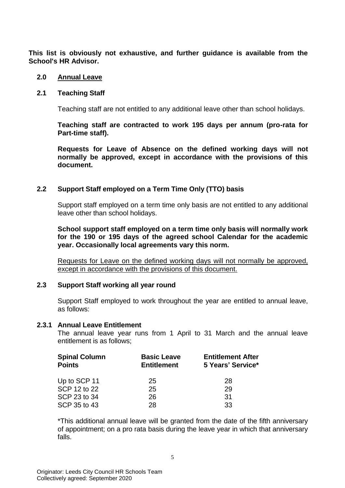**This list is obviously not exhaustive, and further guidance is available from the School's HR Advisor.** 

#### **2.0 Annual Leave**

## **2.1 Teaching Staff**

Teaching staff are not entitled to any additional leave other than school holidays.

**Teaching staff are contracted to work 195 days per annum (pro-rata for Part-time staff).**

**Requests for Leave of Absence on the defined working days will not normally be approved, except in accordance with the provisions of this document.**

# **2.2 Support Staff employed on a Term Time Only (TTO) basis**

Support staff employed on a term time only basis are not entitled to any additional leave other than school holidays.

**School support staff employed on a term time only basis will normally work for the 190 or 195 days of the agreed school Calendar for the academic year. Occasionally local agreements vary this norm.** 

Requests for Leave on the defined working days will not normally be approved, except in accordance with the provisions of this document.

# **2.3 Support Staff working all year round**

Support Staff employed to work throughout the year are entitled to annual leave, as follows:

#### **2.3.1 Annual Leave Entitlement**

The annual leave year runs from 1 April to 31 March and the annual leave entitlement is as follows;

| <b>Basic Leave</b><br><b>Entitlement</b> | <b>Entitlement After</b><br>5 Years' Service* |  |
|------------------------------------------|-----------------------------------------------|--|
| 25                                       | 28                                            |  |
| 25                                       | 29                                            |  |
| 26                                       | 31                                            |  |
| 28                                       | 33                                            |  |
|                                          |                                               |  |

\*This additional annual leave will be granted from the date of the fifth anniversary of appointment; on a pro rata basis during the leave year in which that anniversary falls.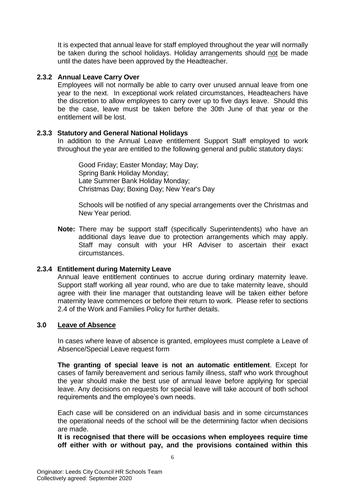It is expected that annual leave for staff employed throughout the year will normally be taken during the school holidays. Holiday arrangements should not be made until the dates have been approved by the Headteacher.

# **2.3.2 Annual Leave Carry Over**

Employees will not normally be able to carry over unused annual leave from one year to the next. In exceptional work related circumstances, Headteachers have the discretion to allow employees to carry over up to five days leave. Should this be the case, leave must be taken before the 30th June of that year or the entitlement will be lost.

# **2.3.3 Statutory and General National Holidays**

In addition to the Annual Leave entitlement Support Staff employed to work throughout the year are entitled to the following general and public statutory days:

Good Friday; Easter Monday; May Day; Spring Bank Holiday Monday; Late Summer Bank Holiday Monday; Christmas Day; Boxing Day; New Year's Day

Schools will be notified of any special arrangements over the Christmas and New Year period.

**Note:** There may be support staff (specifically Superintendents) who have an additional days leave due to protection arrangements which may apply. Staff may consult with your HR Adviser to ascertain their exact circumstances.

# **2.3.4 Entitlement during Maternity Leave**

Annual leave entitlement continues to accrue during ordinary maternity leave. Support staff working all year round, who are due to take maternity leave, should agree with their line manager that outstanding leave will be taken either before maternity leave commences or before their return to work. Please refer to sections 2.4 of the Work and Families Policy for further details.

# **3.0 Leave of Absence**

In cases where leave of absence is granted, employees must complete a Leave of Absence/Special Leave request form

**The granting of special leave is not an automatic entitlement**. Except for cases of family bereavement and serious family illness, staff who work throughout the year should make the best use of annual leave before applying for special leave. Any decisions on requests for special leave will take account of both school requirements and the employee's own needs.

Each case will be considered on an individual basis and in some circumstances the operational needs of the school will be the determining factor when decisions are made.

**It is recognised that there will be occasions when employees require time off either with or without pay, and the provisions contained within this**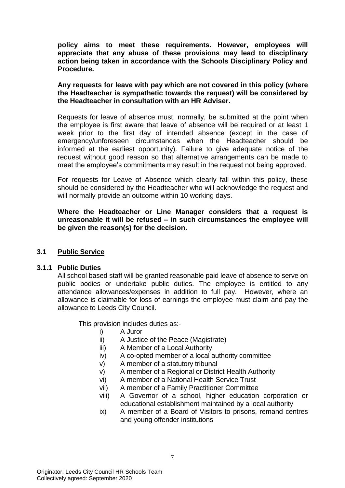**policy aims to meet these requirements. However, employees will appreciate that any abuse of these provisions may lead to disciplinary action being taken in accordance with the Schools Disciplinary Policy and Procedure.**

**Any requests for leave with pay which are not covered in this policy (where the Headteacher is sympathetic towards the request) will be considered by the Headteacher in consultation with an HR Adviser.**

Requests for leave of absence must, normally, be submitted at the point when the employee is first aware that leave of absence will be required or at least 1 week prior to the first day of intended absence (except in the case of emergency/unforeseen circumstances when the Headteacher should be informed at the earliest opportunity). Failure to give adequate notice of the request without good reason so that alternative arrangements can be made to meet the employee's commitments may result in the request not being approved.

For requests for Leave of Absence which clearly fall within this policy, these should be considered by the Headteacher who will acknowledge the request and will normally provide an outcome within 10 working days.

**Where the Headteacher or Line Manager considers that a request is unreasonable it will be refused – in such circumstances the employee will be given the reason(s) for the decision.**

# **3.1 Public Service**

#### **3.1.1 Public Duties**

All school based staff will be granted reasonable paid leave of absence to serve on public bodies or undertake public duties. The employee is entitled to any attendance allowances/expenses in addition to full pay. However, where an allowance is claimable for loss of earnings the employee must claim and pay the allowance to Leeds City Council.

This provision includes duties as:-

- i) A Juror
- ii) A Justice of the Peace (Magistrate)
- iii) A Member of a Local Authority
- iv) A co-opted member of a local authority committee
- v) A member of a statutory tribunal
- v) A member of a Regional or District Health Authority
- vi) A member of a National Health Service Trust
- vii) A member of a Family Practitioner Committee
- viii) A Governor of a school, higher education corporation or educational establishment maintained by a local authority
- ix) A member of a Board of Visitors to prisons, remand centres and young offender institutions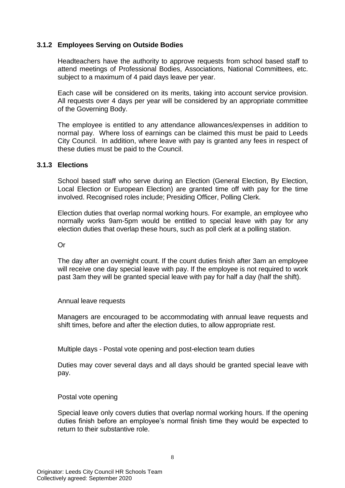# **3.1.2 Employees Serving on Outside Bodies**

Headteachers have the authority to approve requests from school based staff to attend meetings of Professional Bodies, Associations, National Committees, etc. subject to a maximum of 4 paid days leave per year.

Each case will be considered on its merits, taking into account service provision. All requests over 4 days per year will be considered by an appropriate committee of the Governing Body.

The employee is entitled to any attendance allowances/expenses in addition to normal pay. Where loss of earnings can be claimed this must be paid to Leeds City Council. In addition, where leave with pay is granted any fees in respect of these duties must be paid to the Council.

#### **3.1.3 Elections**

School based staff who serve during an Election (General Election, By Election, Local Election or European Election) are granted time off with pay for the time involved. Recognised roles include; Presiding Officer, Polling Clerk.

Election duties that overlap normal working hours. For example, an employee who normally works 9am-5pm would be entitled to special leave with pay for any election duties that overlap these hours, such as poll clerk at a polling station.

Or

The day after an overnight count. If the count duties finish after 3am an employee will receive one day special leave with pay. If the employee is not required to work past 3am they will be granted special leave with pay for half a day (half the shift).

#### Annual leave requests

Managers are encouraged to be accommodating with annual leave requests and shift times, before and after the election duties, to allow appropriate rest.

Multiple days - Postal vote opening and post-election team duties

Duties may cover several days and all days should be granted special leave with pay.

#### Postal vote opening

Special leave only covers duties that overlap normal working hours. If the opening duties finish before an employee's normal finish time they would be expected to return to their substantive role.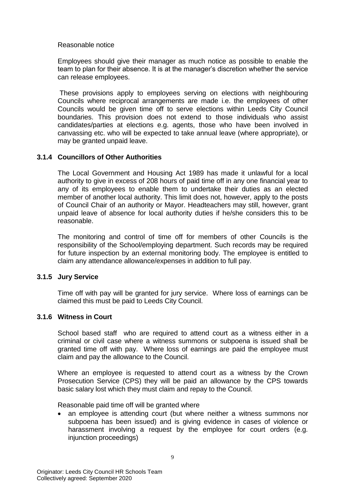Reasonable notice

Employees should give their manager as much notice as possible to enable the team to plan for their absence. It is at the manager's discretion whether the service can release employees.

These provisions apply to employees serving on elections with neighbouring Councils where reciprocal arrangements are made i.e. the employees of other Councils would be given time off to serve elections within Leeds City Council boundaries. This provision does not extend to those individuals who assist candidates/parties at elections e.g. agents, those who have been involved in canvassing etc. who will be expected to take annual leave (where appropriate), or may be granted unpaid leave.

# **3.1.4 Councillors of Other Authorities**

The Local Government and Housing Act 1989 has made it unlawful for a local authority to give in excess of 208 hours of paid time off in any one financial year to any of its employees to enable them to undertake their duties as an elected member of another local authority. This limit does not, however, apply to the posts of Council Chair of an authority or Mayor. Headteachers may still, however, grant unpaid leave of absence for local authority duties if he/she considers this to be reasonable.

The monitoring and control of time off for members of other Councils is the responsibility of the School/employing department. Such records may be required for future inspection by an external monitoring body. The employee is entitled to claim any attendance allowance/expenses in addition to full pay.

# **3.1.5 Jury Service**

Time off with pay will be granted for jury service. Where loss of earnings can be claimed this must be paid to Leeds City Council.

# **3.1.6 Witness in Court**

School based staff who are required to attend court as a witness either in a criminal or civil case where a witness summons or subpoena is issued shall be granted time off with pay. Where loss of earnings are paid the employee must claim and pay the allowance to the Council.

Where an employee is requested to attend court as a witness by the Crown Prosecution Service (CPS) they will be paid an allowance by the CPS towards basic salary lost which they must claim and repay to the Council.

Reasonable paid time off will be granted where

 an employee is attending court (but where neither a witness summons nor subpoena has been issued) and is giving evidence in cases of violence or harassment involving a request by the employee for court orders (e.g. injunction proceedings)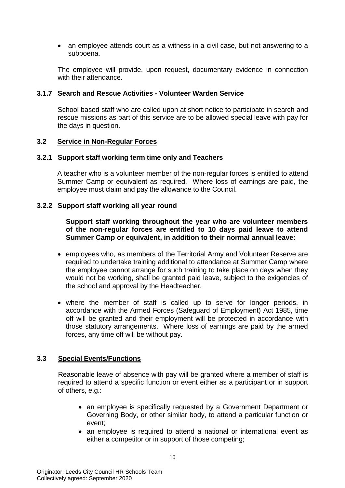an employee attends court as a witness in a civil case, but not answering to a subpoena.

The employee will provide, upon request, documentary evidence in connection with their attendance.

# **3.1.7 Search and Rescue Activities - Volunteer Warden Service**

School based staff who are called upon at short notice to participate in search and rescue missions as part of this service are to be allowed special leave with pay for the days in question.

#### **3.2 Service in Non-Regular Forces**

#### **3.2.1 Support staff working term time only and Teachers**

A teacher who is a volunteer member of the non-regular forces is entitled to attend Summer Camp or equivalent as required. Where loss of earnings are paid, the employee must claim and pay the allowance to the Council.

#### **3.2.2 Support staff working all year round**

**Support staff working throughout the year who are volunteer members of the non-regular forces are entitled to 10 days paid leave to attend Summer Camp or equivalent, in addition to their normal annual leave:**

- employees who, as members of the Territorial Army and Volunteer Reserve are required to undertake training additional to attendance at Summer Camp where the employee cannot arrange for such training to take place on days when they would not be working, shall be granted paid leave, subject to the exigencies of the school and approval by the Headteacher.
- where the member of staff is called up to serve for longer periods, in accordance with the Armed Forces (Safeguard of Employment) Act 1985, time off will be granted and their employment will be protected in accordance with those statutory arrangements. Where loss of earnings are paid by the armed forces, any time off will be without pay.

# **3.3 Special Events/Functions**

Reasonable leave of absence with pay will be granted where a member of staff is required to attend a specific function or event either as a participant or in support of others, e.g.:

- an employee is specifically requested by a Government Department or Governing Body, or other similar body, to attend a particular function or event;
- an employee is required to attend a national or international event as either a competitor or in support of those competing;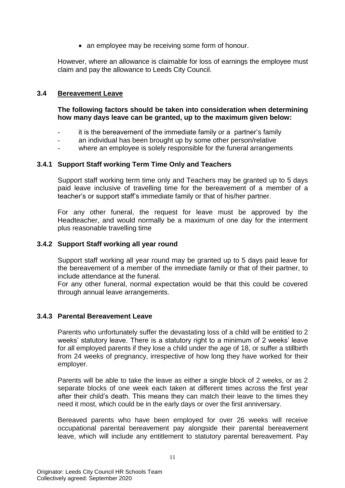• an employee may be receiving some form of honour.

However, where an allowance is claimable for loss of earnings the employee must claim and pay the allowance to Leeds City Council.

# **3.4 Bereavement Leave**

# **The following factors should be taken into consideration when determining how many days leave can be granted, up to the maximum given below:**

- it is the bereavement of the immediate family or a partner's family
- an individual has been brought up by some other person/relative
- where an employee is solely responsible for the funeral arrangements

# **3.4.1 Support Staff working Term Time Only and Teachers**

Support staff working term time only and Teachers may be granted up to 5 days paid leave inclusive of travelling time for the bereavement of a member of a teacher's or support staff's immediate family or that of his/her partner.

For any other funeral, the request for leave must be approved by the Headteacher, and would normally be a maximum of one day for the interment plus reasonable travelling time

## **3.4.2 Support Staff working all year round**

Support staff working all year round may be granted up to 5 days paid leave for the bereavement of a member of the immediate family or that of their partner, to include attendance at the funeral.

For any other funeral, normal expectation would be that this could be covered through annual leave arrangements.

# **3.4.3 Parental Bereavement Leave**

Parents who unfortunately suffer the devastating loss of a child will be entitled to 2 weeks' statutory leave. There is a statutory right to a minimum of 2 weeks' leave for all employed parents if they lose a child under the age of 18, or suffer a stillbirth from 24 weeks of pregnancy, irrespective of how long they have worked for their employer.

Parents will be able to take the leave as either a single block of 2 weeks, or as 2 separate blocks of one week each taken at different times across the first year after their child's death. This means they can match their leave to the times they need it most, which could be in the early days or over the first anniversary.

Bereaved parents who have been employed for over 26 weeks will receive occupational parental bereavement pay alongside their parental bereavement leave, which will include any entitlement to statutory parental bereavement. Pay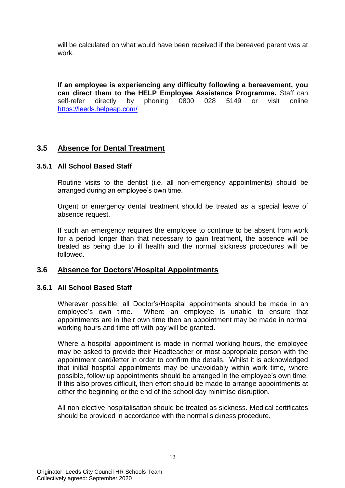will be calculated on what would have been received if the bereaved parent was at work.

**If an employee is experiencing any difficulty following a bereavement, you can direct them to the HELP Employee Assistance Programme.** Staff can self-refer directly by phoning 0800 028 5149 or visit online self-refer directly by phoning 0800 028 5149 or visit online <https://leeds.helpeap.com/>

# **3.5 Absence for Dental Treatment**

# **3.5.1 All School Based Staff**

Routine visits to the dentist (i.e. all non-emergency appointments) should be arranged during an employee's own time.

Urgent or emergency dental treatment should be treated as a special leave of absence request.

If such an emergency requires the employee to continue to be absent from work for a period longer than that necessary to gain treatment, the absence will be treated as being due to ill health and the normal sickness procedures will be followed.

# **3.6 Absence for Doctors'/Hospital Appointments**

# **3.6.1 All School Based Staff**

Wherever possible, all Doctor's/Hospital appointments should be made in an employee's own time. Where an employee is unable to ensure that appointments are in their own time then an appointment may be made in normal working hours and time off with pay will be granted.

Where a hospital appointment is made in normal working hours, the employee may be asked to provide their Headteacher or most appropriate person with the appointment card/letter in order to confirm the details. Whilst it is acknowledged that initial hospital appointments may be unavoidably within work time, where possible, follow up appointments should be arranged in the employee's own time. If this also proves difficult, then effort should be made to arrange appointments at either the beginning or the end of the school day minimise disruption.

All non-elective hospitalisation should be treated as sickness. Medical certificates should be provided in accordance with the normal sickness procedure.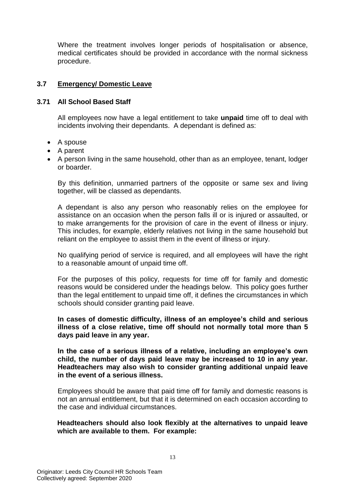Where the treatment involves longer periods of hospitalisation or absence, medical certificates should be provided in accordance with the normal sickness procedure.

# **3.7 Emergency/ Domestic Leave**

## **3.71 All School Based Staff**

All employees now have a legal entitlement to take **unpaid** time off to deal with incidents involving their dependants. A dependant is defined as:

- A spouse
- A parent
- A person living in the same household, other than as an employee, tenant, lodger or boarder.

By this definition, unmarried partners of the opposite or same sex and living together, will be classed as dependants.

A dependant is also any person who reasonably relies on the employee for assistance on an occasion when the person falls ill or is injured or assaulted, or to make arrangements for the provision of care in the event of illness or injury. This includes, for example, elderly relatives not living in the same household but reliant on the employee to assist them in the event of illness or injury.

No qualifying period of service is required, and all employees will have the right to a reasonable amount of unpaid time off.

For the purposes of this policy, requests for time off for family and domestic reasons would be considered under the headings below. This policy goes further than the legal entitlement to unpaid time off, it defines the circumstances in which schools should consider granting paid leave.

**In cases of domestic difficulty, illness of an employee's child and serious illness of a close relative, time off should not normally total more than 5 days paid leave in any year.** 

**In the case of a serious illness of a relative, including an employee's own child, the number of days paid leave may be increased to 10 in any year. Headteachers may also wish to consider granting additional unpaid leave in the event of a serious illness.** 

Employees should be aware that paid time off for family and domestic reasons is not an annual entitlement, but that it is determined on each occasion according to the case and individual circumstances.

# **Headteachers should also look flexibly at the alternatives to unpaid leave which are available to them. For example:**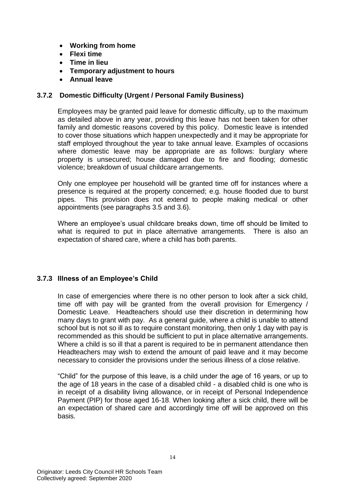- **Working from home**
- **Flexi time**
- **Time in lieu**
- **Temporary adjustment to hours**
- **Annual leave**

# **3.7.2 Domestic Difficulty (Urgent / Personal Family Business)**

Employees may be granted paid leave for domestic difficulty, up to the maximum as detailed above in any year, providing this leave has not been taken for other family and domestic reasons covered by this policy. Domestic leave is intended to cover those situations which happen unexpectedly and it may be appropriate for staff employed throughout the year to take annual leave. Examples of occasions where domestic leave may be appropriate are as follows: burglary where property is unsecured; house damaged due to fire and flooding; domestic violence; breakdown of usual childcare arrangements.

Only one employee per household will be granted time off for instances where a presence is required at the property concerned; e.g. house flooded due to burst pipes. This provision does not extend to people making medical or other appointments (see paragraphs 3.5 and 3.6).

Where an employee's usual childcare breaks down, time off should be limited to what is required to put in place alternative arrangements. There is also an expectation of shared care, where a child has both parents.

# **3.7.3 Illness of an Employee's Child**

In case of emergencies where there is no other person to look after a sick child, time off with pay will be granted from the overall provision for Emergency / Domestic Leave. Headteachers should use their discretion in determining how many days to grant with pay. As a general guide, where a child is unable to attend school but is not so ill as to require constant monitoring, then only 1 day with pay is recommended as this should be sufficient to put in place alternative arrangements. Where a child is so ill that a parent is required to be in permanent attendance then Headteachers may wish to extend the amount of paid leave and it may become necessary to consider the provisions under the serious illness of a close relative.

"Child" for the purpose of this leave, is a child under the age of 16 years, or up to the age of 18 years in the case of a disabled child - a disabled child is one who is in receipt of a disability living allowance, or in receipt of Personal Independence Payment (PIP) for those aged 16-18. When looking after a sick child, there will be an expectation of shared care and accordingly time off will be approved on this basis.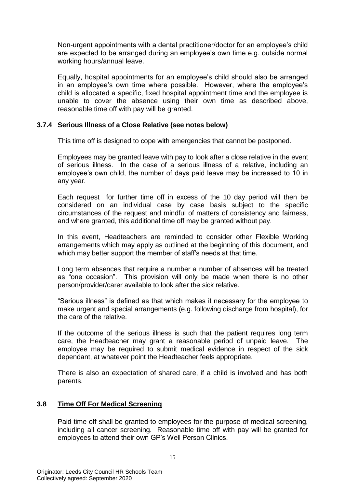Non-urgent appointments with a dental practitioner/doctor for an employee's child are expected to be arranged during an employee's own time e.g. outside normal working hours/annual leave.

Equally, hospital appointments for an employee's child should also be arranged in an employee's own time where possible. However, where the employee's child is allocated a specific, fixed hospital appointment time and the employee is unable to cover the absence using their own time as described above, reasonable time off with pay will be granted.

# **3.7.4 Serious Illness of a Close Relative (see notes below)**

This time off is designed to cope with emergencies that cannot be postponed.

Employees may be granted leave with pay to look after a close relative in the event of serious illness. In the case of a serious illness of a relative, including an employee's own child, the number of days paid leave may be increased to 10 in any year.

Each request for further time off in excess of the 10 day period will then be considered on an individual case by case basis subject to the specific circumstances of the request and mindful of matters of consistency and fairness, and where granted, this additional time off may be granted without pay.

In this event, Headteachers are reminded to consider other Flexible Working arrangements which may apply as outlined at the beginning of this document, and which may better support the member of staff's needs at that time.

Long term absences that require a number a number of absences will be treated as "one occasion". This provision will only be made when there is no other person/provider/carer available to look after the sick relative.

"Serious illness" is defined as that which makes it necessary for the employee to make urgent and special arrangements (e.g. following discharge from hospital), for the care of the relative.

If the outcome of the serious illness is such that the patient requires long term care, the Headteacher may grant a reasonable period of unpaid leave. The employee may be required to submit medical evidence in respect of the sick dependant, at whatever point the Headteacher feels appropriate.

There is also an expectation of shared care, if a child is involved and has both parents.

# **3.8 Time Off For Medical Screening**

Paid time off shall be granted to employees for the purpose of medical screening, including all cancer screening. Reasonable time off with pay will be granted for employees to attend their own GP's Well Person Clinics.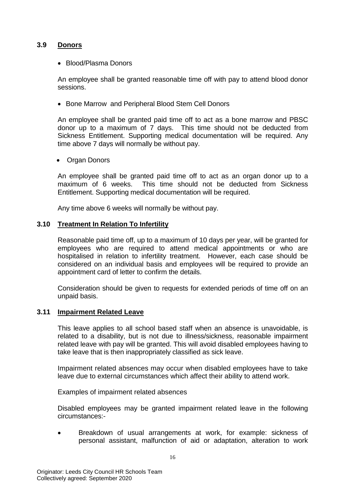# **3.9 Donors**

Blood/Plasma Donors

An employee shall be granted reasonable time off with pay to attend blood donor sessions.

• Bone Marrow and Peripheral Blood Stem Cell Donors

An employee shall be granted paid time off to act as a bone marrow and PBSC donor up to a maximum of 7 days. This time should not be deducted from Sickness Entitlement. Supporting medical documentation will be required. Any time above 7 days will normally be without pay.

Organ Donors

An employee shall be granted paid time off to act as an organ donor up to a maximum of 6 weeks. This time should not be deducted from Sickness Entitlement. Supporting medical documentation will be required.

Any time above 6 weeks will normally be without pay.

#### **3.10 Treatment In Relation To Infertility**

Reasonable paid time off, up to a maximum of 10 days per year, will be granted for employees who are required to attend medical appointments or who are hospitalised in relation to infertility treatment. However, each case should be considered on an individual basis and employees will be required to provide an appointment card of letter to confirm the details.

Consideration should be given to requests for extended periods of time off on an unpaid basis.

# **3.11 Impairment Related Leave**

This leave applies to all school based staff when an absence is unavoidable, is related to a disability, but is not due to illness/sickness, reasonable impairment related leave with pay will be granted. This will avoid disabled employees having to take leave that is then inappropriately classified as sick leave.

Impairment related absences may occur when disabled employees have to take leave due to external circumstances which affect their ability to attend work.

Examples of impairment related absences

Disabled employees may be granted impairment related leave in the following circumstances:-

 Breakdown of usual arrangements at work, for example: sickness of personal assistant, malfunction of aid or adaptation, alteration to work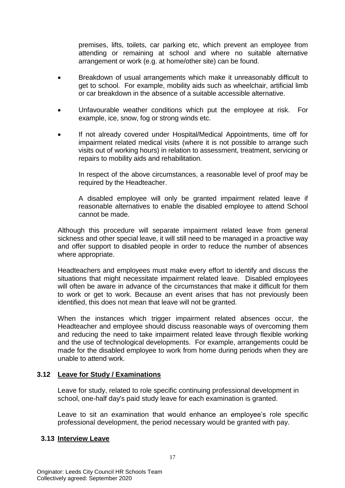premises, lifts, toilets, car parking etc, which prevent an employee from attending or remaining at school and where no suitable alternative arrangement or work (e.g. at home/other site) can be found.

- Breakdown of usual arrangements which make it unreasonably difficult to get to school. For example, mobility aids such as wheelchair, artificial limb or car breakdown in the absence of a suitable accessible alternative.
- Unfavourable weather conditions which put the employee at risk. For example, ice, snow, fog or strong winds etc.
- If not already covered under Hospital/Medical Appointments, time off for impairment related medical visits (where it is not possible to arrange such visits out of working hours) in relation to assessment, treatment, servicing or repairs to mobility aids and rehabilitation.

In respect of the above circumstances, a reasonable level of proof may be required by the Headteacher.

A disabled employee will only be granted impairment related leave if reasonable alternatives to enable the disabled employee to attend School cannot be made.

Although this procedure will separate impairment related leave from general sickness and other special leave, it will still need to be managed in a proactive way and offer support to disabled people in order to reduce the number of absences where appropriate.

Headteachers and employees must make every effort to identify and discuss the situations that might necessitate impairment related leave. Disabled employees will often be aware in advance of the circumstances that make it difficult for them to work or get to work. Because an event arises that has not previously been identified, this does not mean that leave will not be granted.

When the instances which trigger impairment related absences occur, the Headteacher and employee should discuss reasonable ways of overcoming them and reducing the need to take impairment related leave through flexible working and the use of technological developments. For example, arrangements could be made for the disabled employee to work from home during periods when they are unable to attend work.

# **3.12 Leave for Study / Examinations**

Leave for study, related to role specific continuing professional development in school, one-half day's paid study leave for each examination is granted.

Leave to sit an examination that would enhance an employee's role specific professional development, the period necessary would be granted with pay.

# **3.13 Interview Leave**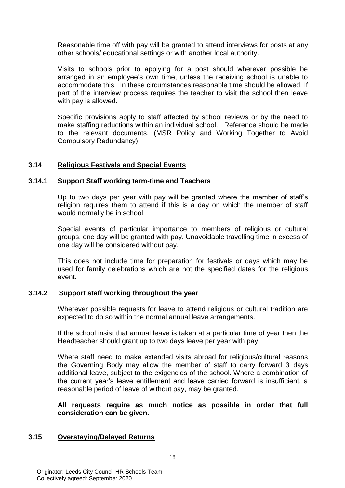Reasonable time off with pay will be granted to attend interviews for posts at any other schools/ educational settings or with another local authority.

Visits to schools prior to applying for a post should wherever possible be arranged in an employee's own time, unless the receiving school is unable to accommodate this. In these circumstances reasonable time should be allowed. If part of the interview process requires the teacher to visit the school then leave with pay is allowed.

Specific provisions apply to staff affected by school reviews or by the need to make staffing reductions within an individual school. Reference should be made to the relevant documents, (MSR Policy and Working Together to Avoid Compulsory Redundancy).

# **3.14 Religious Festivals and Special Events**

# **3.14.1 Support Staff working term-time and Teachers**

Up to two days per year with pay will be granted where the member of staff's religion requires them to attend if this is a day on which the member of staff would normally be in school.

Special events of particular importance to members of religious or cultural groups, one day will be granted with pay. Unavoidable travelling time in excess of one day will be considered without pay.

This does not include time for preparation for festivals or days which may be used for family celebrations which are not the specified dates for the religious event.

# **3.14.2 Support staff working throughout the year**

Wherever possible requests for leave to attend religious or cultural tradition are expected to do so within the normal annual leave arrangements.

If the school insist that annual leave is taken at a particular time of year then the Headteacher should grant up to two days leave per year with pay.

Where staff need to make extended visits abroad for religious/cultural reasons the Governing Body may allow the member of staff to carry forward 3 days additional leave, subject to the exigencies of the school. Where a combination of the current year's leave entitlement and leave carried forward is insufficient, a reasonable period of leave of without pay, may be granted.

**All requests require as much notice as possible in order that full consideration can be given.**

# **3.15 Overstaying/Delayed Returns**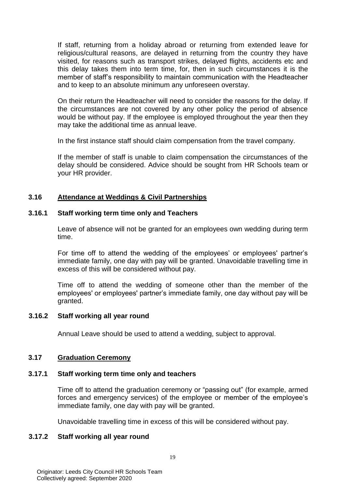If staff, returning from a holiday abroad or returning from extended leave for religious/cultural reasons, are delayed in returning from the country they have visited, for reasons such as transport strikes, delayed flights, accidents etc and this delay takes them into term time, for, then in such circumstances it is the member of staff's responsibility to maintain communication with the Headteacher and to keep to an absolute minimum any unforeseen overstay.

On their return the Headteacher will need to consider the reasons for the delay. If the circumstances are not covered by any other policy the period of absence would be without pay. If the employee is employed throughout the year then they may take the additional time as annual leave.

In the first instance staff should claim compensation from the travel company.

If the member of staff is unable to claim compensation the circumstances of the delay should be considered. Advice should be sought from HR Schools team or your HR provider.

# **3.16 Attendance at Weddings & Civil Partnerships**

#### **3.16.1 Staff working term time only and Teachers**

Leave of absence will not be granted for an employees own wedding during term time.

For time off to attend the wedding of the employees' or employees' partner's immediate family, one day with pay will be granted. Unavoidable travelling time in excess of this will be considered without pay.

Time off to attend the wedding of someone other than the member of the employees' or employees' partner's immediate family, one day without pay will be granted.

#### **3.16.2 Staff working all year round**

Annual Leave should be used to attend a wedding, subject to approval.

# **3.17 Graduation Ceremony**

#### **3.17.1 Staff working term time only and teachers**

Time off to attend the graduation ceremony or "passing out" (for example, armed forces and emergency services) of the employee or member of the employee's immediate family, one day with pay will be granted.

Unavoidable travelling time in excess of this will be considered without pay.

# **3.17.2 Staff working all year round**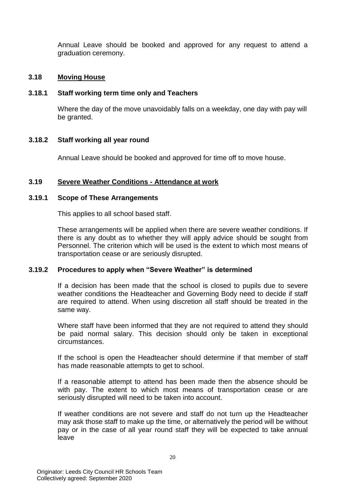Annual Leave should be booked and approved for any request to attend a graduation ceremony.

## **3.18 Moving House**

## **3.18.1 Staff working term time only and Teachers**

Where the day of the move unavoidably falls on a weekday, one day with pay will be granted.

#### **3.18.2 Staff working all year round**

Annual Leave should be booked and approved for time off to move house.

#### **3.19 Severe Weather Conditions - Attendance at work**

#### **3.19.1 Scope of These Arrangements**

This applies to all school based staff.

These arrangements will be applied when there are severe weather conditions. If there is any doubt as to whether they will apply advice should be sought from Personnel. The criterion which will be used is the extent to which most means of transportation cease or are seriously disrupted.

#### **3.19.2 Procedures to apply when "Severe Weather" is determined**

If a decision has been made that the school is closed to pupils due to severe weather conditions the Headteacher and Governing Body need to decide if staff are required to attend. When using discretion all staff should be treated in the same way.

Where staff have been informed that they are not required to attend they should be paid normal salary. This decision should only be taken in exceptional circumstances.

If the school is open the Headteacher should determine if that member of staff has made reasonable attempts to get to school.

If a reasonable attempt to attend has been made then the absence should be with pay. The extent to which most means of transportation cease or are seriously disrupted will need to be taken into account.

If weather conditions are not severe and staff do not turn up the Headteacher may ask those staff to make up the time, or alternatively the period will be without pay or in the case of all year round staff they will be expected to take annual leave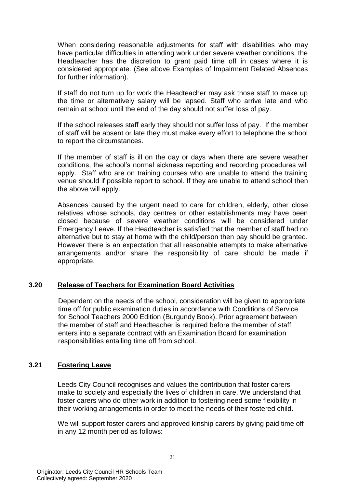When considering reasonable adjustments for staff with disabilities who may have particular difficulties in attending work under severe weather conditions, the Headteacher has the discretion to grant paid time off in cases where it is considered appropriate. (See above Examples of Impairment Related Absences for further information).

If staff do not turn up for work the Headteacher may ask those staff to make up the time or alternatively salary will be lapsed. Staff who arrive late and who remain at school until the end of the day should not suffer loss of pay.

If the school releases staff early they should not suffer loss of pay. If the member of staff will be absent or late they must make every effort to telephone the school to report the circumstances.

If the member of staff is ill on the day or days when there are severe weather conditions, the school's normal sickness reporting and recording procedures will apply. Staff who are on training courses who are unable to attend the training venue should if possible report to school. If they are unable to attend school then the above will apply.

Absences caused by the urgent need to care for children, elderly, other close relatives whose schools, day centres or other establishments may have been closed because of severe weather conditions will be considered under Emergency Leave. If the Headteacher is satisfied that the member of staff had no alternative but to stay at home with the child/person then pay should be granted. However there is an expectation that all reasonable attempts to make alternative arrangements and/or share the responsibility of care should be made if appropriate.

# **3.20 Release of Teachers for Examination Board Activities**

Dependent on the needs of the school, consideration will be given to appropriate time off for public examination duties in accordance with Conditions of Service for School Teachers 2000 Edition (Burgundy Book). Prior agreement between the member of staff and Headteacher is required before the member of staff enters into a separate contract with an Examination Board for examination responsibilities entailing time off from school.

# **3.21 Fostering Leave**

Leeds City Council recognises and values the contribution that foster carers make to society and especially the lives of children in care. We understand that foster carers who do other work in addition to fostering need some flexibility in their working arrangements in order to meet the needs of their fostered child.

We will support foster carers and approved kinship carers by giving paid time off in any 12 month period as follows: